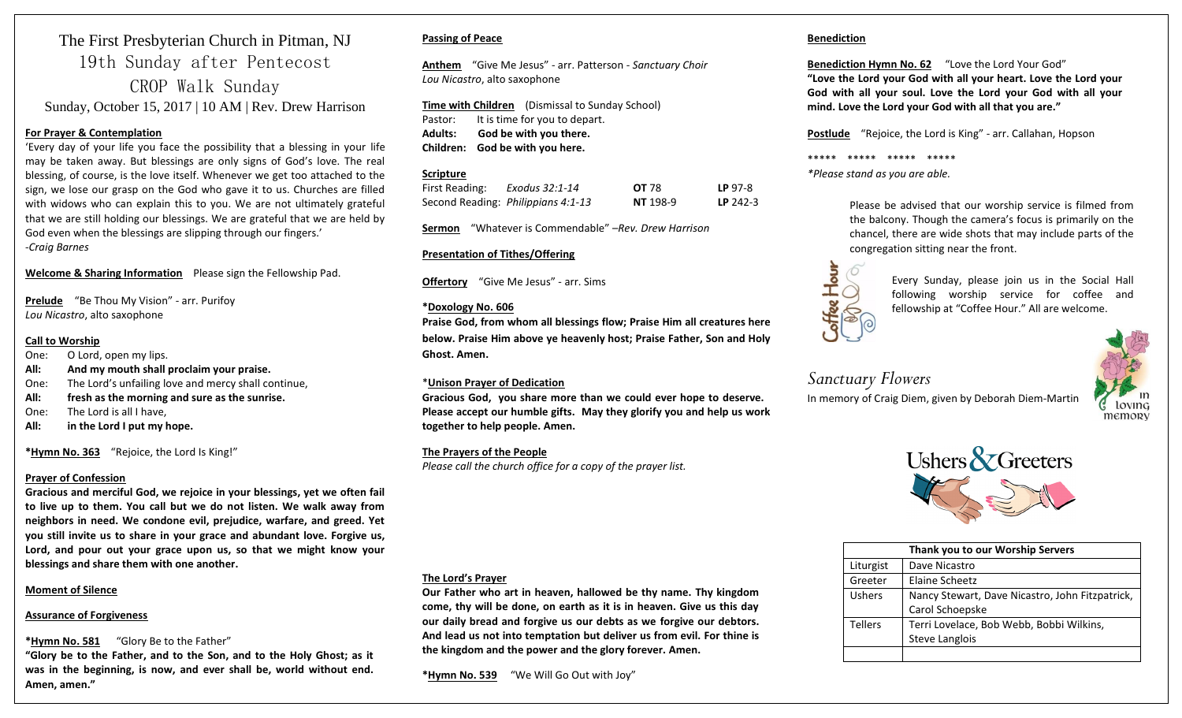# The First Presbyterian Church in Pitman, NJ 19th Sunday after Pentecost CROP Walk Sunday Sunday, October 15, 2017 | 10 AM | Rev. Drew Harrison

## **For Prayer & Contemplation**

'Every day of your life you face the possibility that a blessing in your life may be taken away. But blessings are only signs of God's love. The real blessing, of course, is the love itself. Whenever we get too attached to the sign, we lose our grasp on the God who gave it to us. Churches are filled with widows who can explain this to you. We are not ultimately grateful that we are still holding our blessings. We are grateful that we are held by God even when the blessings are slipping through our fingers.' -*Craig Barnes*

## **Welcome & Sharing Information** Please sign the Fellowship Pad.

**Prelude** "Be Thou My Vision" - arr. Purifoy *Lou Nicastro*, alto saxophone

#### **Call to Worship**

- One: O Lord, open my lips.
- **All: And my mouth shall proclaim your praise.**
- One: The Lord's unfailing love and mercy shall continue,
- **All: fresh as the morning and sure as the sunrise.**
- One: The Lord is all I have,
- **All: in the Lord I put my hope.**

**\*Hymn No. 363** "Rejoice, the Lord Is King!"

### **Prayer of Confession**

**Gracious and merciful God, we rejoice in your blessings, yet we often fail to live up to them. You call but we do not listen. We walk away from neighbors in need. We condone evil, prejudice, warfare, and greed. Yet you still invite us to share in your grace and abundant love. Forgive us, Lord, and pour out your grace upon us, so that we might know your blessings and share them with one another.** 

## **Moment of Silence**

### **Assurance of Forgiveness**

### **\*Hymn No. 581** "Glory Be to the Father"

**"Glory be to the Father, and to the Son, and to the Holy Ghost; as it was in the beginning, is now, and ever shall be, world without end. Amen, amen."**

## **Passing of Peace**

**Anthem** "Give Me Jesus" - arr. Patterson - *Sanctuary Choir Lou Nicastro*, alto saxophone

**Time with Children** (Dismissal to Sunday School) Pastor: It is time for you to depart. **Adults: God be with you there. Children: God be with you here.**

## **Scripture**

| First Reading: | Exodus 32:1-14                     | <b>OT 78</b>    | LP 97-8    |
|----------------|------------------------------------|-----------------|------------|
|                | Second Reading: Philippians 4:1-13 | <b>NT</b> 198-9 | $LP$ 242-3 |

**Sermon** "Whatever is Commendable" –*Rev. Drew Harrison* 

## **Presentation of Tithes/Offering**

**Offertory** "Give Me Jesus" - arr. Sims

### **\*Doxology No. 606**

**Praise God, from whom all blessings flow; Praise Him all creatures here below. Praise Him above ye heavenly host; Praise Father, Son and Holy Ghost. Amen.**

### \***Unison Prayer of Dedication**

**Gracious God, you share more than we could ever hope to deserve. Please accept our humble gifts. May they glorify you and help us work together to help people. Amen.** 

## **The Prayers of the People**

*Please call the church office for a copy of the prayer list.*

#### **The Lord's Prayer**

**Our Father who art in heaven, hallowed be thy name. Thy kingdom come, thy will be done, on earth as it is in heaven. Give us this day our daily bread and forgive us our debts as we forgive our debtors. And lead us not into temptation but deliver us from evil. For thine is the kingdom and the power and the glory forever. Amen.** 

**\*Hymn No. 539** "We Will Go Out with Joy"

## **Benediction**

**Benediction Hymn No. 62** "Love the Lord Your God" **"Love the Lord your God with all your heart. Love the Lord your God with all your soul. Love the Lord your God with all your mind. Love the Lord your God with all that you are."**

**Postlude** "Rejoice, the Lord is King" - arr. Callahan, Hopson

\*\*\*\*\* \*\*\*\*\* \*\*\*\*\* \*\*\*\*\*

*\*Please stand as you are able.*

Please be advised that our worship service is filmed from the balcony. Though the camera's focus is primarily on the chancel, there are wide shots that may include parts of the



congregation sitting near the front.<br>
Every Sunday, please joir<br>
following worship served<br>
fellowship at "Coffee Hour. Every Sunday, please join us in the Social Hall following worship service for coffee and fellowship at "Coffee Hour." All are welcome.

# *Sanctuary Flowers*

In memory of Craig Diem, given by Deborah Diem-Martin





| Thank you to our Worship Servers |                                                 |  |
|----------------------------------|-------------------------------------------------|--|
| Liturgist                        | Dave Nicastro                                   |  |
| Greeter                          | Elaine Scheetz                                  |  |
| Ushers                           | Nancy Stewart, Dave Nicastro, John Fitzpatrick, |  |
|                                  | Carol Schoepske                                 |  |
| <b>Tellers</b>                   | Terri Lovelace, Bob Webb, Bobbi Wilkins,        |  |
|                                  | Steve Langlois                                  |  |
|                                  |                                                 |  |